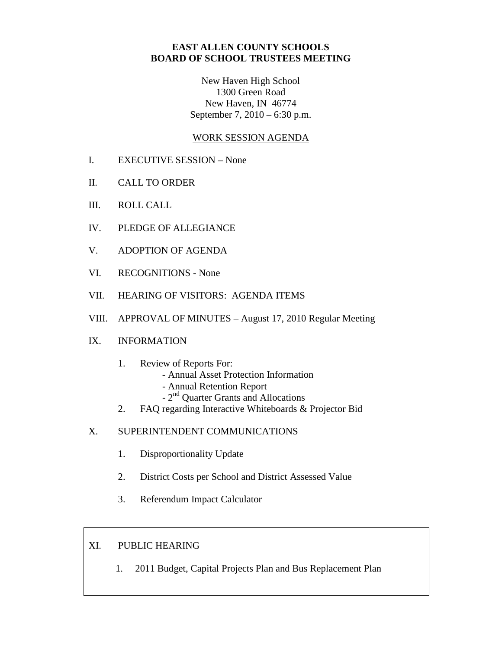# **EAST ALLEN COUNTY SCHOOLS BOARD OF SCHOOL TRUSTEES MEETING**

New Haven High School 1300 Green Road New Haven, IN 46774 September 7, 2010 – 6:30 p.m.

## WORK SESSION AGENDA

- I. EXECUTIVE SESSION None
- II. CALL TO ORDER
- III. ROLL CALL
- IV. PLEDGE OF ALLEGIANCE
- V. ADOPTION OF AGENDA
- VI. RECOGNITIONS None
- VII. HEARING OF VISITORS: AGENDA ITEMS
- VIII. APPROVAL OF MINUTES August 17, 2010 Regular Meeting

#### IX. INFORMATION

- 1. Review of Reports For:
	- Annual Asset Protection Information
	- Annual Retention Report
	- 2<sup>nd</sup> Quarter Grants and Allocations
- 2. FAQ regarding Interactive Whiteboards & Projector Bid
- X. SUPERINTENDENT COMMUNICATIONS
	- 1. Disproportionality Update
	- 2. District Costs per School and District Assessed Value
	- 3. Referendum Impact Calculator

### XI. PUBLIC HEARING

1. 2011 Budget, Capital Projects Plan and Bus Replacement Plan